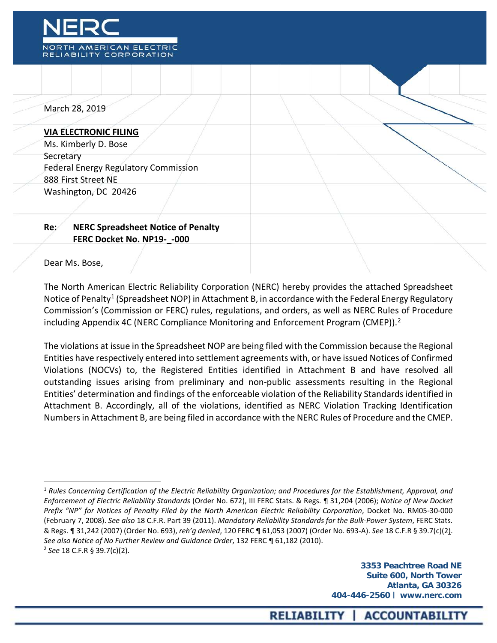

March 28, 2019

#### **VIA ELECTRONIC FILING**

Ms. Kimberly D. Bose **Secretary** Federal Energy Regulatory Commission 888 First Street NE Washington, DC 20426

# **Re: NERC Spreadsheet Notice of Penalty FERC Docket No. NP19-\_-000**

#### Dear Ms. Bose,

 $\overline{a}$ 

The North American Electric Reliability Corporation (NERC) hereby provides the attached Spreadsheet Notice of Penalty<sup>[1](#page-0-0)</sup> (Spreadsheet NOP) in Attachment B, in accordance with the Federal Energy Regulatory Commission's (Commission or FERC) rules, regulations, and orders, as well as NERC Rules of Procedure including Appendix 4C (NERC Compliance Monitoring and Enforcement Program (CMEP)).<sup>[2](#page-0-1)</sup>

The violations at issue in the Spreadsheet NOP are being filed with the Commission because the Regional Entities have respectively entered into settlement agreements with, or have issued Notices of Confirmed Violations (NOCVs) to, the Registered Entities identified in Attachment B and have resolved all outstanding issues arising from preliminary and non-public assessments resulting in the Regional Entities' determination and findings of the enforceable violation of the Reliability Standards identified in Attachment B. Accordingly, all of the violations, identified as NERC Violation Tracking Identification Numbers in Attachment B, are being filed in accordance with the NERC Rules of Procedure and the CMEP.

<span id="page-0-1"></span><span id="page-0-0"></span><sup>1</sup> *Rules Concerning Certification of the Electric Reliability Organization; and Procedures for the Establishment, Approval, and Enforcement of Electric Reliability Standards* (Order No. 672), III FERC Stats. & Regs. ¶ 31,204 (2006); *Notice of New Docket Prefix "NP" for Notices of Penalty Filed by the North American Electric Reliability Corporation*, Docket No. RM05-30-000 (February 7, 2008). *See also* 18 C.F.R. Part 39 (2011). *Mandatory Reliability Standards for the Bulk-Power System*, FERC Stats. & Regs. ¶ 31,242 (2007) (Order No. 693), *reh'g denied*, 120 FERC ¶ 61,053 (2007) (Order No. 693-A). *See* 18 C.F.R § 39.7(c)(2). *See also Notice of No Further Review and Guidance Order*, 132 FERC ¶ 61,182 (2010). <sup>2</sup> *See* 18 C.F.R § 39.7(c)(2).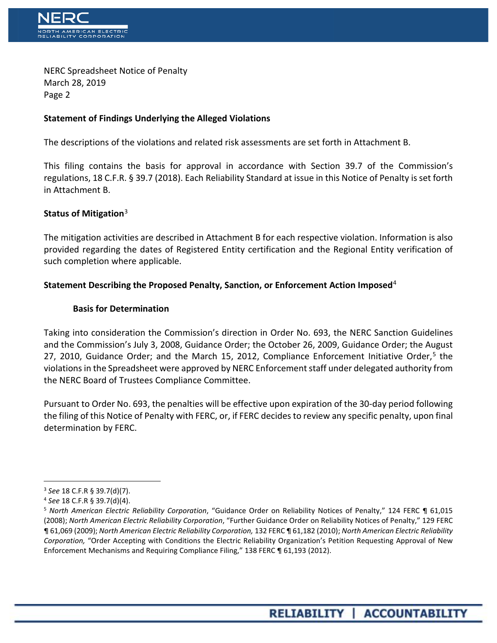

NERC Spreadsheet Notice of Penalty March 28, 2019 Page 2

# **Statement of Findings Underlying the Alleged Violations**

The descriptions of the violations and related risk assessments are set forth in Attachment B.

This filing contains the basis for approval in accordance with Section 39.7 of the Commission's regulations, 18 C.F.R. § 39.7 (2018). Each Reliability Standard at issue in this Notice of Penalty is set forth in Attachment B.

### **Status of Mitigation**[3](#page-1-0)

The mitigation activities are described in Attachment B for each respective violation. Information is also provided regarding the dates of Registered Entity certification and the Regional Entity verification of such completion where applicable.

# **Statement Describing the Proposed Penalty, Sanction, or Enforcement Action Imposed**[4](#page-1-1)

### **Basis for Determination**

Taking into consideration the Commission's direction in Order No. 693, the NERC Sanction Guidelines and the Commission's July 3, 2008, Guidance Order; the October 26, 2009, Guidance Order; the August 27, 2010, Guidance Order; and the March 1[5](#page-1-2), 2012, Compliance Enforcement Initiative Order,<sup>5</sup> the violations in the Spreadsheet were approved by NERC Enforcement staff under delegated authority from the NERC Board of Trustees Compliance Committee.

Pursuant to Order No. 693, the penalties will be effective upon expiration of the 30-day period following the filing of this Notice of Penalty with FERC, or, if FERC decides to review any specific penalty, upon final determination by FERC.

 $\overline{a}$ 

<span id="page-1-0"></span><sup>3</sup> *See* 18 C.F.R § 39.7(d)(7).

<span id="page-1-1"></span><sup>4</sup> *See* 18 C.F.R § 39.7(d)(4).

<span id="page-1-2"></span><sup>5</sup> *North American Electric Reliability Corporation*, "Guidance Order on Reliability Notices of Penalty," 124 FERC ¶ 61,015 (2008); *North American Electric Reliability Corporation*, "Further Guidance Order on Reliability Notices of Penalty," 129 FERC ¶ 61,069 (2009); *North American Electric Reliability Corporation,* 132 FERC ¶ 61,182 (2010); *North American Electric Reliability Corporation,* "Order Accepting with Conditions the Electric Reliability Organization's Petition Requesting Approval of New Enforcement Mechanisms and Requiring Compliance Filing," 138 FERC ¶ 61,193 (2012).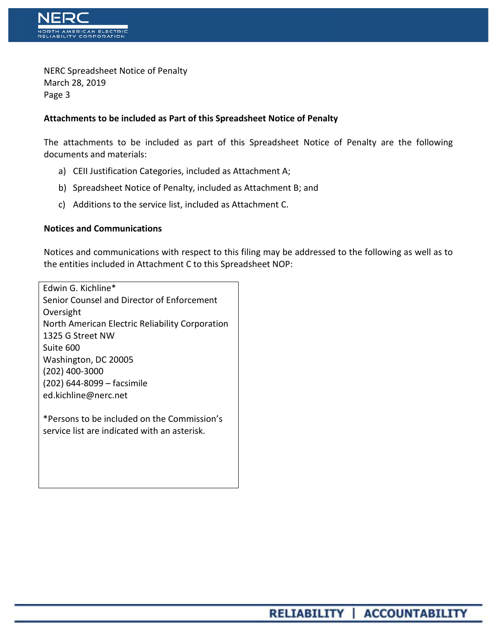

NERC Spreadsheet Notice of Penalty March 28, 2019 Page 3

# **Attachments to be included as Part of this Spreadsheet Notice of Penalty**

The attachments to be included as part of this Spreadsheet Notice of Penalty are the following documents and materials:

- a) CEII Justification Categories, included as Attachment A;
- b) Spreadsheet Notice of Penalty, included as Attachment B; and
- c) Additions to the service list, included as Attachment C.

### **Notices and Communications**

Notices and communications with respect to this filing may be addressed to the following as well as to the entities included in Attachment C to this Spreadsheet NOP:

Edwin G. Kichline\* Senior Counsel and Director of Enforcement Oversight North American Electric Reliability Corporation 1325 G Street NW Suite 600 Washington, DC 20005 (202) 400-3000 (202) 644-8099 – facsimile ed.kichline@nerc.net

\*Persons to be included on the Commission's service list are indicated with an asterisk.